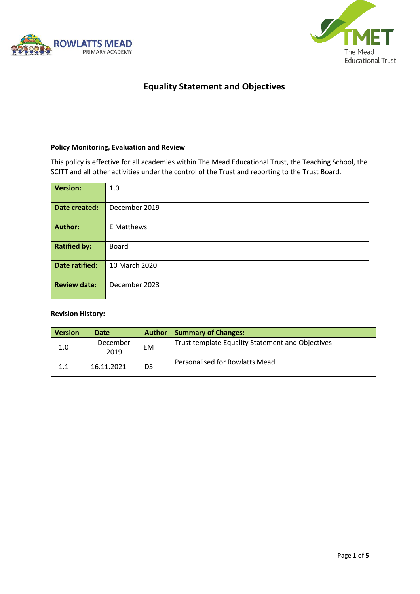



## **Equality Statement and Objectives**

#### **Policy Monitoring, Evaluation and Review**

This policy is effective for all academies within The Mead Educational Trust, the Teaching School, the SCITT and all other activities under the control of the Trust and reporting to the Trust Board.

| <b>Version:</b>       | 1.0           |
|-----------------------|---------------|
| Date created:         | December 2019 |
| <b>Author:</b>        | E Matthews    |
| <b>Ratified by:</b>   | Board         |
| <b>Date ratified:</b> | 10 March 2020 |
| <b>Review date:</b>   | December 2023 |

#### **Revision History:**

| <b>Version</b> | <b>Date</b>      | <b>Author</b> | <b>Summary of Changes:</b>                       |
|----------------|------------------|---------------|--------------------------------------------------|
| 1.0            | December<br>2019 | EM            | Trust template Equality Statement and Objectives |
| 1.1            | 16.11.2021       | <b>DS</b>     | Personalised for Rowlatts Mead                   |
|                |                  |               |                                                  |
|                |                  |               |                                                  |
|                |                  |               |                                                  |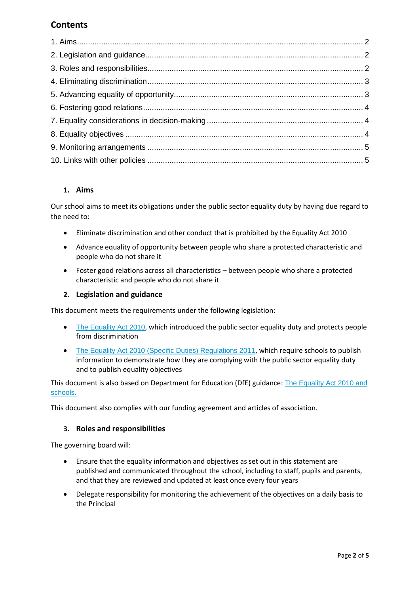# **Contents**

## **1. Aims**

Our school aims to meet its obligations under the public sector equality duty by having due regard to the need to:

- Eliminate discrimination and other conduct that is prohibited by the Equality Act 2010
- Advance equality of opportunity between people who share a protected characteristic and people who do not share it
- Foster good relations across all characteristics between people who share a protected characteristic and people who do not share it

## **2. Legislation and guidance**

This document meets the requirements under the following legislation:

- [The Equality Act 2010](http://www.legislation.gov.uk/ukpga/2010/15/contents), which introduced the public sector equality duty and protects people from discrimination
- [The Equality Act 2010 \(Specific Duties\) Regulations 2011](http://www.legislation.gov.uk/uksi/2011/2260/contents/made), which require schools to publish information to demonstrate how they are complying with the public sector equality duty and to publish equality objectives

This document is also based on Department for Education (DfE) guidance: [The Equality Act 2010 and](https://www.gov.uk/government/uploads/system/uploads/attachment_data/file/315587/Equality_Act_Advice_Final.pdf)  [schools.](https://www.gov.uk/government/uploads/system/uploads/attachment_data/file/315587/Equality_Act_Advice_Final.pdf) 

This document also complies with our funding agreement and articles of association.

## **3. Roles and responsibilities**

The governing board will:

- Ensure that the equality information and objectives as set out in this statement are published and communicated throughout the school, including to staff, pupils and parents, and that they are reviewed and updated at least once every four years
- Delegate responsibility for monitoring the achievement of the objectives on a daily basis to the Principal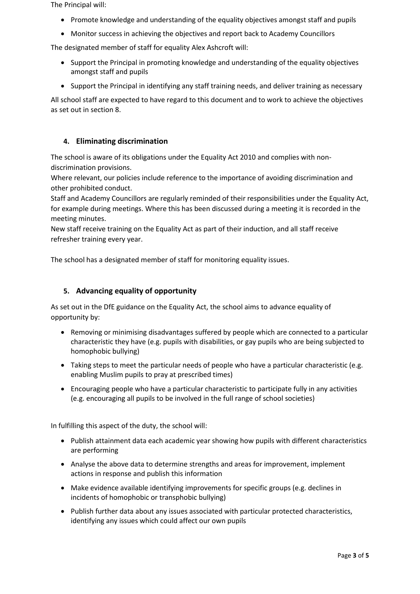The Principal will:

- Promote knowledge and understanding of the equality objectives amongst staff and pupils
- Monitor success in achieving the objectives and report back to Academy Councillors

The designated member of staff for equality Alex Ashcroft will:

- Support the Principal in promoting knowledge and understanding of the equality objectives amongst staff and pupils
- Support the Principal in identifying any staff training needs, and deliver training as necessary

All school staff are expected to have regard to this document and to work to achieve the objectives as set out in section 8.

#### **4. Eliminating discrimination**

The school is aware of its obligations under the Equality Act 2010 and complies with nondiscrimination provisions.

Where relevant, our policies include reference to the importance of avoiding discrimination and other prohibited conduct.

Staff and Academy Councillors are regularly reminded of their responsibilities under the Equality Act, for example during meetings. Where this has been discussed during a meeting it is recorded in the meeting minutes.

New staff receive training on the Equality Act as part of their induction, and all staff receive refresher training every year.

The school has a designated member of staff for monitoring equality issues.

#### **5. Advancing equality of opportunity**

As set out in the DfE guidance on the Equality Act, the school aims to advance equality of opportunity by:

- Removing or minimising disadvantages suffered by people which are connected to a particular characteristic they have (e.g. pupils with disabilities, or gay pupils who are being subjected to homophobic bullying)
- Taking steps to meet the particular needs of people who have a particular characteristic (e.g. enabling Muslim pupils to pray at prescribed times)
- Encouraging people who have a particular characteristic to participate fully in any activities (e.g. encouraging all pupils to be involved in the full range of school societies)

In fulfilling this aspect of the duty, the school will:

- Publish attainment data each academic year showing how pupils with different characteristics are performing
- Analyse the above data to determine strengths and areas for improvement, implement actions in response and publish this information
- Make evidence available identifying improvements for specific groups (e.g. declines in incidents of homophobic or transphobic bullying)
- Publish further data about any issues associated with particular protected characteristics, identifying any issues which could affect our own pupils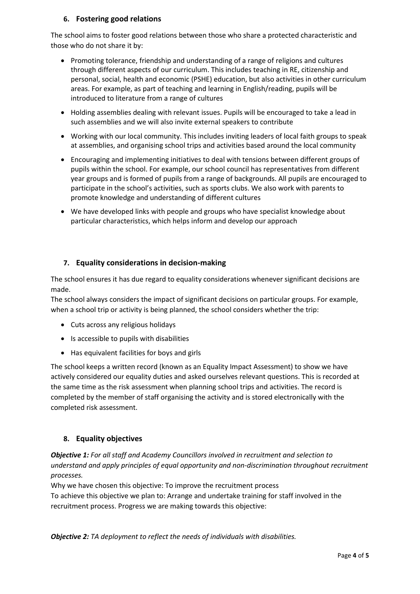## **6. Fostering good relations**

The school aims to foster good relations between those who share a protected characteristic and those who do not share it by:

- Promoting tolerance, friendship and understanding of a range of religions and cultures through different aspects of our curriculum. This includes teaching in RE, citizenship and personal, social, health and economic (PSHE) education, but also activities in other curriculum areas. For example, as part of teaching and learning in English/reading, pupils will be introduced to literature from a range of cultures
- Holding assemblies dealing with relevant issues. Pupils will be encouraged to take a lead in such assemblies and we will also invite external speakers to contribute
- Working with our local community. This includes inviting leaders of local faith groups to speak at assemblies, and organising school trips and activities based around the local community
- Encouraging and implementing initiatives to deal with tensions between different groups of pupils within the school. For example, our school council has representatives from different year groups and is formed of pupils from a range of backgrounds. All pupils are encouraged to participate in the school's activities, such as sports clubs. We also work with parents to promote knowledge and understanding of different cultures
- We have developed links with people and groups who have specialist knowledge about particular characteristics, which helps inform and develop our approach

## **7. Equality considerations in decision-making**

The school ensures it has due regard to equality considerations whenever significant decisions are made.

The school always considers the impact of significant decisions on particular groups. For example, when a school trip or activity is being planned, the school considers whether the trip:

- Cuts across any religious holidays
- Is accessible to pupils with disabilities
- Has equivalent facilities for boys and girls

The school keeps a written record (known as an Equality Impact Assessment) to show we have actively considered our equality duties and asked ourselves relevant questions. This is recorded at the same time as the risk assessment when planning school trips and activities. The record is completed by the member of staff organising the activity and is stored electronically with the completed risk assessment.

## **8. Equality objectives**

*Objective 1: For all staff and Academy Councillors involved in recruitment and selection to understand and apply principles of equal opportunity and non-discrimination throughout recruitment processes.*

Why we have chosen this objective: To improve the recruitment process To achieve this objective we plan to: Arrange and undertake training for staff involved in the recruitment process. Progress we are making towards this objective:

*Objective 2: TA deployment to reflect the needs of individuals with disabilities.*